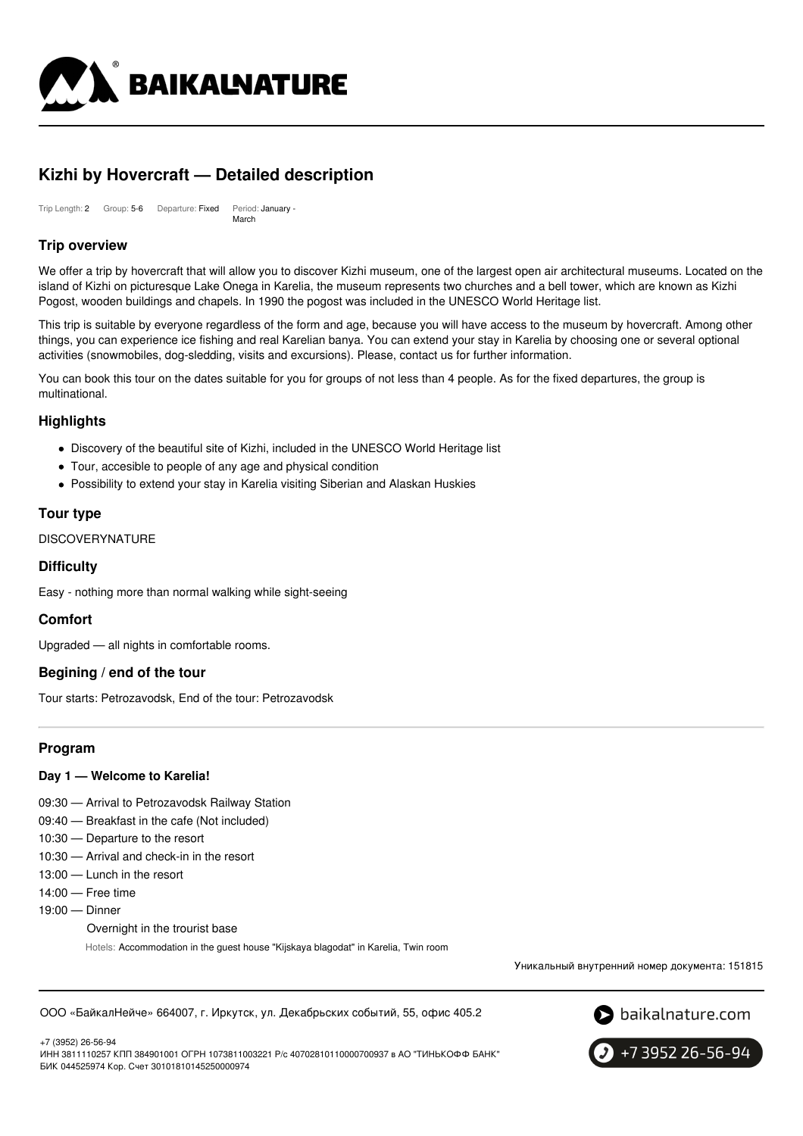

# **Kizhi by Hovercraft — Detailed description**

Trip Length: 2 Group: 5-6 Departure: Fixed Period: January - March

# **Trip overview**

We offer a trip by hovercraft that will allow you to discover Kizhi museum, one of the largest open air architectural museums. Located on the island of Kizhi on picturesque Lake Onega in Karelia, the museum represents two churches and a bell tower, which are known as Kizhi Pogost, wooden buildings and chapels. In 1990 the pogost was included in the UNESCO World Heritage list.

This trip is suitable by everyone regardless of the form and age, because you will have access to the museum by hovercraft. Among other things, you can experience ice fishing and real Karelian banya. You can extend your stay in Karelia by choosing one or several optional activities (snowmobiles, dog-sledding, visits and excursions). Please, contact us for further information.

You can book this tour on the dates suitable for you for groups of not less than 4 people. As for the fixed departures, the group is multinational.

### **Highlights**

- Discovery of the beautiful site of Kizhi, included in the UNESCO World Heritage list
- Tour, accesible to people of any age and physical condition
- Possibility to extend your stay in Karelia visiting Siberian and Alaskan Huskies

### **Tour type**

**DISCOVERYNATURE** 

### **Difficulty**

Easy - nothing more than normal walking while sight-seeing

### **Comfort**

Upgraded — all nights in comfortable rooms.

### **Begining / end of the tour**

Tour starts: Petrozavodsk, End of the tour: Petrozavodsk

# **Program**

### **Day 1 — Welcome to Karelia!**

- 09:30 Arrival to Petrozavodsk Railway Station
- 09:40 Breakfast in the cafe (Not included)
- 10:30 Departure to the resort
- 10:30 Arrival and check-in in the resort
- 13:00 Lunch in the resort
- 14:00 Free time
- 19:00 Dinner

+7 (3952) 26-56-94

Overnight in the trourist base

Hotels: Accommodation in the guest house "Kijskaya blagodat" in Karelia, Twin room

Уникальный внутренний номер документа: 151815

ООО «БайкалНейче» 664007, г. Иркутск, ул. Декабрьских событий, 55, офис 405.2



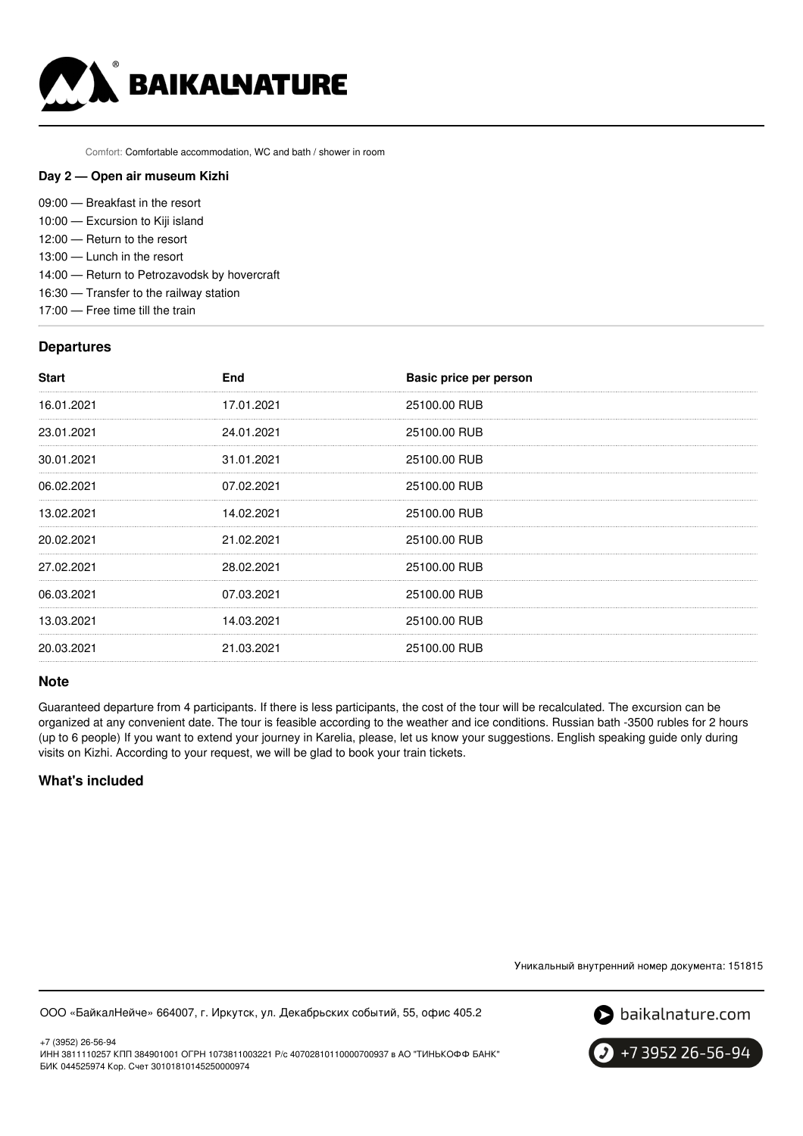

Comfort: Comfortable accommodation, WC and bath / shower in room

#### **Day 2 — Open air museum Kizhi**

| 09:00 – Breakfast in the resort |  |  |  |
|---------------------------------|--|--|--|
|---------------------------------|--|--|--|

- 10:00 Excursion to Kiji island
- 12:00 Return to the resort
- 13:00 Lunch in the resort
- 14:00 Return to Petrozavodsk by hovercraft
- 16:30 Transfer to the railway station
- 17:00 Free time till the train

### **Departures**

| <b>Start</b> | <b>End</b> | Basic price per person |
|--------------|------------|------------------------|
| 16.01.2021   | 17.01.2021 | 25100.00 RUB           |
| 23.01.2021   | 24.01.2021 | 25100.00 RUB           |
| 30.01.2021   | 31.01.2021 | 25100.00 RUB           |
| 06.02.2021   | 07.02.2021 | 25100.00 RUB           |
| 13.02.2021   | 14.02.2021 | 25100.00 RUB           |
| 20.02.2021   | 21.02.2021 | 25100.00 RUB           |
| 27.02.2021   | 28.02.2021 | 25100.00 RUB           |
| 06.03.2021   | 07.03.2021 | 25100.00 RUB           |
| 13.03.2021   | 14.03.2021 | 25100.00 RUB           |
| 20.03.2021   | 21.03.2021 | 25100.00 RUB           |

#### **Note**

Guaranteed departure from 4 participants. If there is less participants, the cost of the tour will be recalculated. The excursion can be organized at any convenient date. The tour is feasible according to the weather and ice conditions. Russian bath -3500 rubles for 2 hours (up to 6 people) If you want to extend your journey in Karelia, please, let us know your suggestions. English speaking guide only during visits on Kizhi. According to your request, we will be glad to book your train tickets.

# **What's included**

Уникальный внутренний номер документа: 151815

ООО «БайкалНейче» 664007, г. Иркутск, ул. Декабрьских событий, 55, офис 405.2



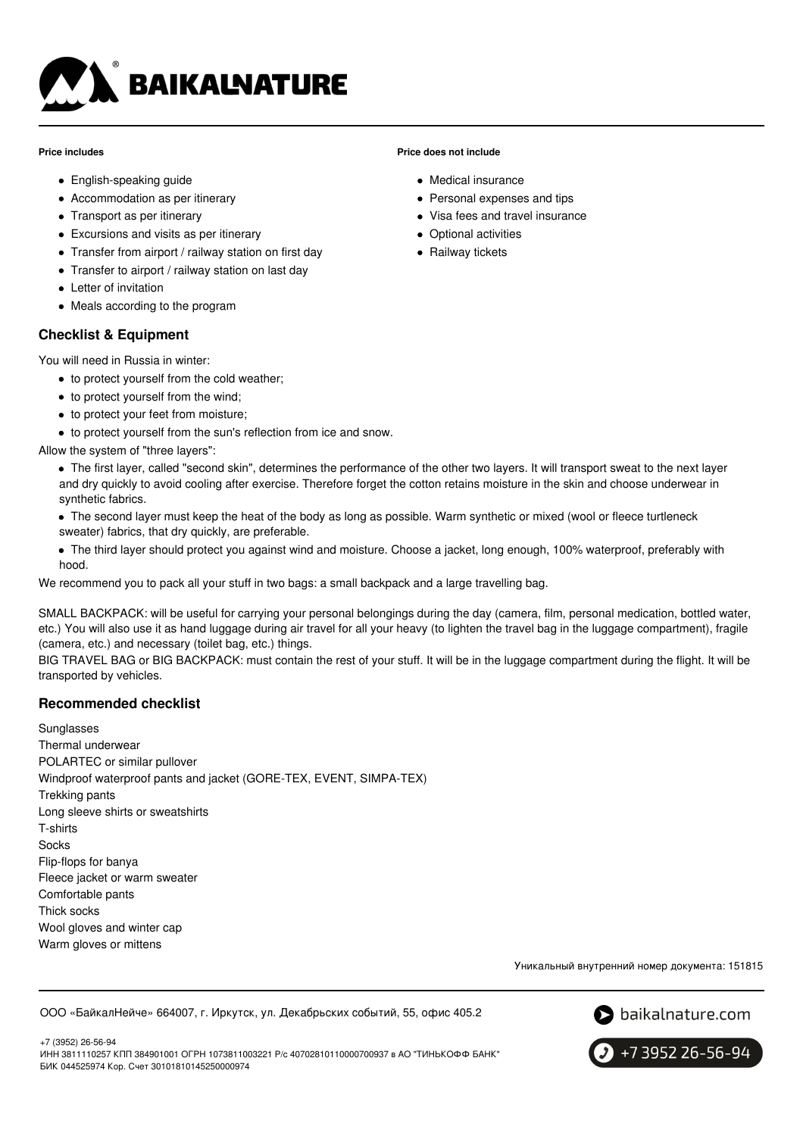

#### **Price includes**

- English-speaking guide
- Accommodation as per itinerary
- Transport as per itinerary
- Excursions and visits as per itinerary
- Transfer from airport / railway station on first day
- Transfer to airport / railway station on last day
- Letter of invitation
- Meals according to the program

### **Checklist & Equipment**

You will need in Russia in winter:

- to protect yourself from the cold weather:
- to protect yourself from the wind;
- to protect your feet from moisture;
- $\bullet$  to protect yourself from the sun's reflection from ice and snow.

Allow the system of "three layers":

#### **Price does not include**

- Medical insurance
- Personal expenses and tips
- Visa fees and travel insurance
- Optional activities
- Railway tickets

- The first layer, called "second skin", determines the performance of the other two layers. It will transport sweat to the next layer and dry quickly to avoid cooling after exercise. Therefore forget the cotton retains moisture in the skin and choose underwear in synthetic fabrics.
- The second layer must keep the heat of the body as long as possible. Warm synthetic or mixed (wool or fleece turtleneck sweater) fabrics, that dry quickly, are preferable.
- The third layer should protect you against wind and moisture. Choose a jacket, long enough, 100% waterproof, preferably with hood.

We recommend you to pack all your stuff in two bags: a small backpack and a large travelling bag.

SMALL BACKPACK: will be useful for carrying your personal belongings during the day (camera, film, personal medication, bottled water, etc.) You will also use it as hand luggage during air travel for all your heavy (to lighten the travel bag in the luggage compartment), fragile (camera, etc.) and necessary (toilet bag, etc.) things.

BIG TRAVEL BAG or BIG BACKPACK: must contain the rest of your stuff. It will be in the luggage compartment during the flight. It will be transported by vehicles.

# **Recommended checklist**

Sunglasses Thermal underwear POLARTEC or similar pullover Windproof waterproof pants and jacket (GORE-TEX, EVENT, SIMPA-TEX) Trekking pants Long sleeve shirts or sweatshirts T-shirts Socks Flip-flops for banya Fleece jacket or warm sweater Comfortable pants Thick socks Wool gloves and winter cap Warm gloves or mittens

Уникальный внутренний номер документа: 151815

ООО «БайкалНейче» 664007, г. Иркутск, ул. Декабрьских событий, 55, офис 405.2



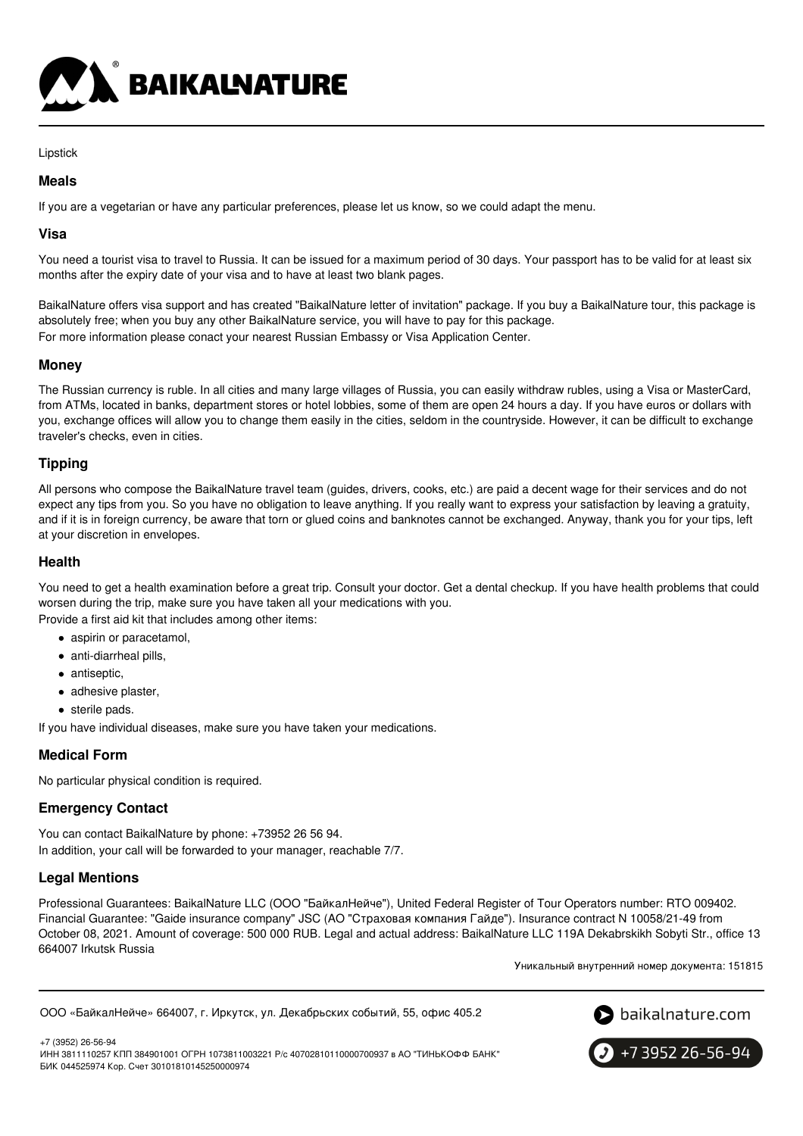

#### Lipstick

### **Meals**

If you are a vegetarian or have any particular preferences, please let us know, so we could adapt the menu.

### **Visa**

You need a tourist visa to travel to Russia. It can be issued for a maximum period of 30 days. Your passport has to be valid for at least six months after the expiry date of your visa and to have at least two blank pages.

BaikalNature offers visa support and has created "BaikalNature letter of invitation" package. If you buy a BaikalNature tour, this package is absolutely free; when you buy any other BaikalNature service, you will have to pay for this package. For more information please conact your nearest Russian Embassy or Visa Application Center.

### **Money**

The Russian currency is ruble. In all cities and many large villages of Russia, you can easily withdraw rubles, using a Visa or MasterCard, from ATMs, located in banks, department stores or hotel lobbies, some of them are open 24 hours a day. If you have euros or dollars with you, exchange offices will allow you to change them easily in the cities, seldom in the countryside. However, it can be difficult to exchange traveler's checks, even in cities.

# **Tipping**

All persons who compose the BaikalNature travel team (guides, drivers, cooks, etc.) are paid a decent wage for their services and do not expect any tips from you. So you have no obligation to leave anything. If you really want to express your satisfaction by leaving a gratuity, and if it is in foreign currency, be aware that torn or glued coins and banknotes cannot be exchanged. Anyway, thank you for your tips, left at your discretion in envelopes.

### **Health**

You need to get a health examination before a great trip. Consult your doctor. Get a dental checkup. If you have health problems that could worsen during the trip, make sure you have taken all your medications with you.

Provide a first aid kit that includes among other items:

- aspirin or paracetamol,
- anti-diarrheal pills,
- antiseptic,
- adhesive plaster,
- sterile pads.

If you have individual diseases, make sure you have taken your medications.

# **Medical Form**

No particular physical condition is required.

# **Emergency Contact**

You can contact BaikalNature by phone: +73952 26 56 94. In addition, your call will be forwarded to your manager, reachable 7/7.

# **Legal Mentions**

Professional Guarantees: BaikalNature LLC (ООО "БайкалНейче"), United Federal Register of Tour Operators number: RTO 009402. Financial Guarantee: "Gaide insurance company" JSC (АО "Страховая компания Гайде"). Insurance contract N 10058/21-49 from October 08, 2021. Amount of coverage: 500 000 RUB. Legal and actual address: BaikalNature LLC 119А Dekabrskikh Sobyti Str., office 13 664007 Irkutsk Russia

Уникальный внутренний номер документа: 151815

```
ООО «БайкалНейче» 664007, г. Иркутск, ул. Декабрьских событий, 55, офис 405.2
```